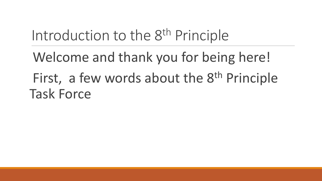# Introduction to the 8<sup>th</sup> Principle

Welcome and thank you for being here! First, a few words about the 8<sup>th</sup> Principle Task Force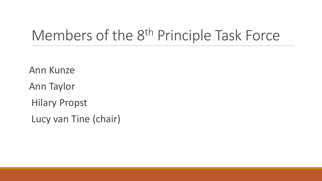### Members of the 8<sup>th</sup> Principle Task Force

Ann Kunze Ann Taylor Hilary Propst Lucy van Tine (chair)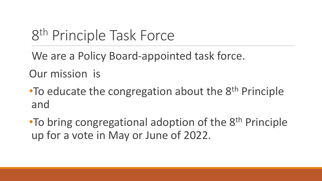# 8<sup>th</sup> Principle Task Force

We are a Policy Board-appointed task force.

Our mission is

•To educate the congregation about the 8<sup>th</sup> Principle and

•To bring congregational adoption of the 8<sup>th</sup> Principle up for a vote in May or June of 2022.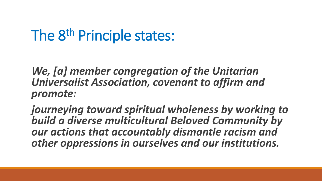## The 8<sup>th</sup> Principle states:

*We, [a] member congregation of the Unitarian Universalist Association, covenant to affirm and promote:* 

*journeying toward spiritual wholeness by working to build a diverse multicultural Beloved Community by our actions that accountably dismantle racism and other oppressions in ourselves and our institutions.*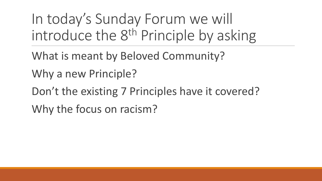In today's Sunday Forum we will introduce the 8<sup>th</sup> Principle by asking

What is meant by Beloved Community?

Why a new Principle?

Don't the existing 7 Principles have it covered? Why the focus on racism?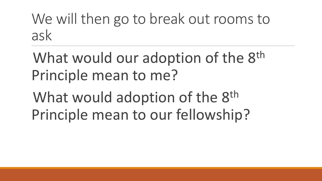We will then go to break out rooms to ask

What would our adoption of the 8<sup>th</sup> Principle mean to me?

What would adoption of the 8<sup>th</sup> Principle mean to our fellowship?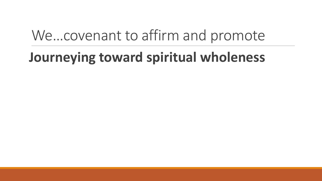### We…covenant to affirm and promote

### **Journeying toward spiritual wholeness**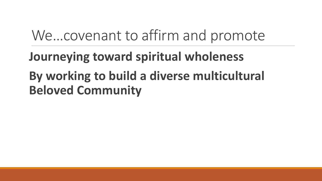### We…covenant to affirm and promote

### **Journeying toward spiritual wholeness By working to build a diverse multicultural Beloved Community**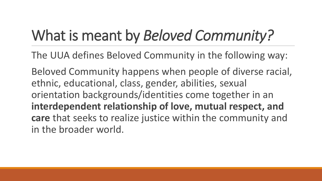# What is meant by *Beloved Community?*

The UUA defines Beloved Community in the following way:

Beloved Community happens when people of diverse racial, ethnic, educational, class, gender, abilities, sexual orientation backgrounds/identities come together in an **interdependent relationship of love, mutual respect, and care** that seeks to realize justice within the community and in the broader world.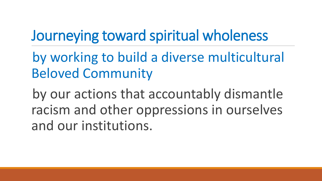# Journeying toward spiritual wholeness

by working to build a diverse multicultural Beloved Community

by our actions that accountably dismantle racism and other oppressions in ourselves and our institutions.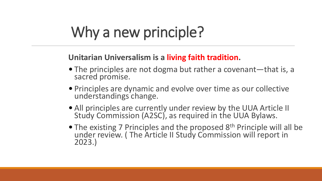# Why a new principle?

#### **Unitarian Universalism is a living faith tradition.**

- The principles are not dogma but rather a covenant—that is, a sacred promise.
- Principles are dynamic and evolve over time as our collective understandings change.
- All principles are currently under review by the UUA Article II Study Commission (A2SC), as required in the UUA Bylaws.
- The existing 7 Principles and the proposed 8<sup>th</sup> Principle will all be under review. ( The Article II Study Commission will report in 2023.)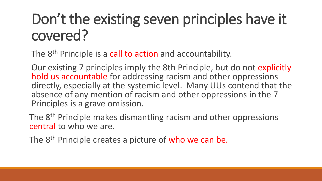# Don't the existing seven principles have it covered?

The 8<sup>th</sup> Principle is a call to action and accountability.

Our existing 7 principles imply the 8th Principle, but do not explicitly hold us accountable for addressing racism and other oppressions directly, especially at the systemic level. Many UUs contend that the absence of any mention of racism and other oppressions in the 7 Principles is a grave omission.

The 8<sup>th</sup> Principle makes dismantling racism and other oppressions central to who we are.

The 8<sup>th</sup> Principle creates a picture of who we can be.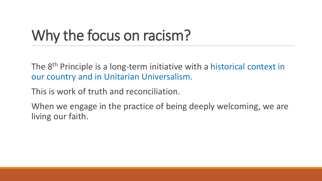# Why the focus on racism?

The 8<sup>th</sup> Principle is a long-term initiative with a historical context in our country and in Unitarian Universalism.

This is work of truth and reconciliation.

When we engage in the practice of being deeply welcoming, we are living our faith.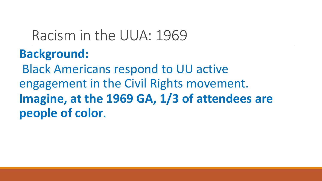### Racism in the UUA: 1969

### **Background:**

Black Americans respond to UU active engagement in the Civil Rights movement. **Imagine, at the 1969 GA, 1/3 of attendees are people of color**.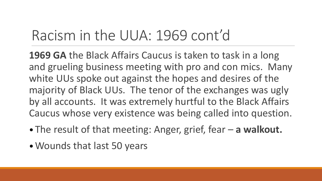### Racism in the UUA: 1969 cont'd

**1969 GA** the Black Affairs Caucus is taken to task in a long and grueling business meeting with pro and con mics. Many white UUs spoke out against the hopes and desires of the majority of Black UUs. The tenor of the exchanges was ugly by all accounts. It was extremely hurtful to the Black Affairs Caucus whose very existence was being called into question.

- The result of that meeting: Anger, grief, fear **a walkout.**
- •Wounds that last 50 years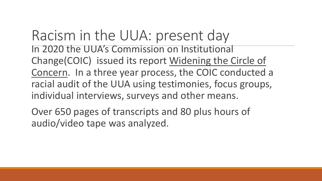Racism in the UUA: present day In 2020 the UUA's Commission on Institutional Change(COIC) issued its report Widening the Circle of Concern. In a three year process, the COIC conducted a racial audit of the UUA using testimonies, focus groups, individual interviews, surveys and other means.

Over 650 pages of transcripts and 80 plus hours of audio/video tape was analyzed.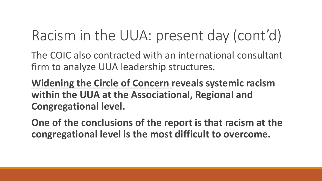# Racism in the UUA: present day (cont'd)

The COIC also contracted with an international consultant firm to analyze UUA leadership structures.

**Widening the Circle of Concern reveals systemic racism within the UUA at the Associational, Regional and Congregational level.** 

**One of the conclusions of the report is that racism at the congregational level is the most difficult to overcome.**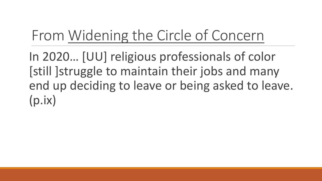# From Widening the Circle of Concern

In 2020… [UU] religious professionals of color [still ]struggle to maintain their jobs and many end up deciding to leave or being asked to leave. (p.ix)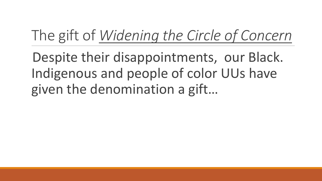# The gift of *Widening the Circle of Concern*

Despite their disappointments, our Black. Indigenous and people of color UUs have given the denomination a gift…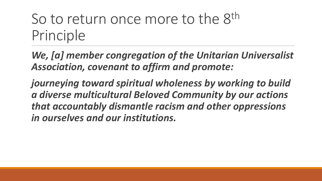## So to return once more to the 8<sup>th</sup> Principle

*We, [a] member congregation of the Unitarian Universalist Association, covenant to affirm and promote:* 

*journeying toward spiritual wholeness by working to build a diverse multicultural Beloved Community by our actions that accountably dismantle racism and other oppressions in ourselves and our institutions.*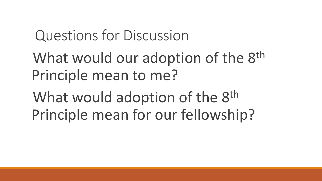## Questions for Discussion

# What would our adoption of the 8<sup>th</sup> Principle mean to me?

What would adoption of the 8<sup>th</sup> Principle mean for our fellowship?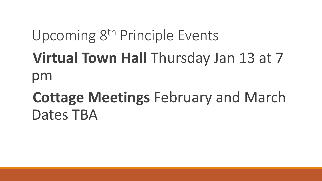# Upcoming 8th Principle Events

# **Virtual Town Hall** Thursday Jan 13 at 7 pm

# **Cottage Meetings** February and March Dates TBA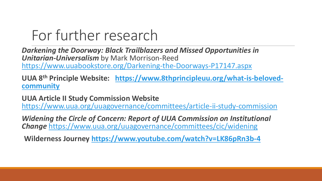### For further research

*Darkening the Doorway: Black Trailblazers and Missed Opportunities in Unitarian-Universalism* by Mark Morrison-Reed <https://www.uuabookstore.org/Darkening-the-Doorways-P17147.aspx>

**UUA 8th [Principle Website: https://www.8thprincipleuu.org/what-is-beloved](https://www.8thprincipleuu.org/what-is-beloved-community)community**

**UUA Article II Study Commission Website**  <https://www.uua.org/uuagovernance/committees/article-ii-study-commission>

*Widening the Circle of Concern: Report of UUA Commission on Institutional Change* <https://www.uua.org/uuagovernance/committees/cic/widening>

**Wilderness Journey <https://www.youtube.com/watch?v=LK86pRn3b-4>**